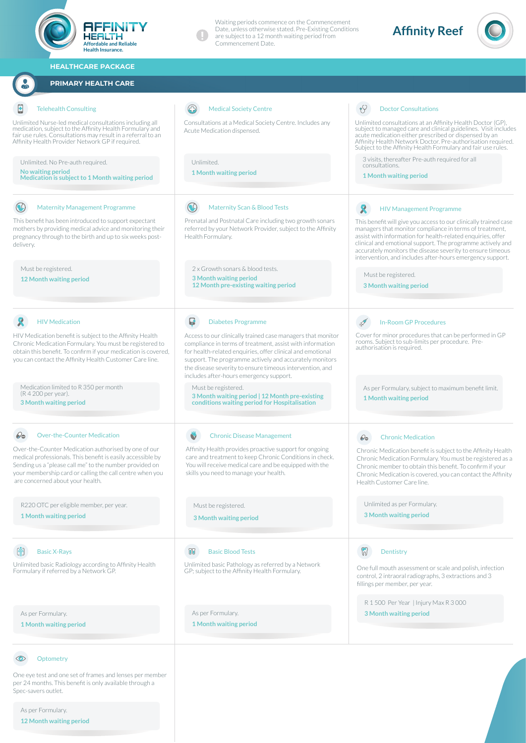

 $\odot$ **Optometry** 

One eye test and one set of frames and lenses per member per 24 months. This benefit is only available through a Spec-savers outlet.

As per Formulary. **12 Month waiting period**